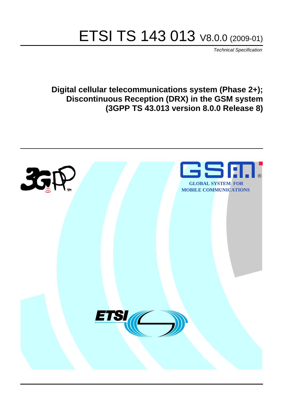# ETSI TS 143 013 V8.0.0 (2009-01)

*Technical Specification*

**Digital cellular telecommunications system (Phase 2+); Discontinuous Reception (DRX) in the GSM system (3GPP TS 43.013 version 8.0.0 Release 8)**

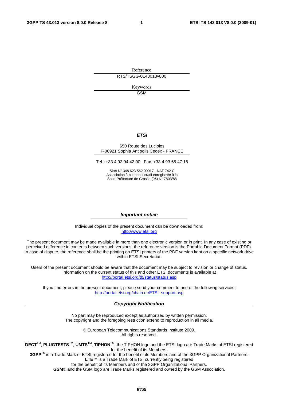Reference RTS/TSGG-0143013v800

> Keywords GSM

#### *ETSI*

#### 650 Route des Lucioles F-06921 Sophia Antipolis Cedex - FRANCE

Tel.: +33 4 92 94 42 00 Fax: +33 4 93 65 47 16

Siret N° 348 623 562 00017 - NAF 742 C Association à but non lucratif enregistrée à la Sous-Préfecture de Grasse (06) N° 7803/88

#### *Important notice*

Individual copies of the present document can be downloaded from: [http://www.etsi.org](http://www.etsi.org/)

The present document may be made available in more than one electronic version or in print. In any case of existing or perceived difference in contents between such versions, the reference version is the Portable Document Format (PDF). In case of dispute, the reference shall be the printing on ETSI printers of the PDF version kept on a specific network drive within ETSI Secretariat.

Users of the present document should be aware that the document may be subject to revision or change of status. Information on the current status of this and other ETSI documents is available at <http://portal.etsi.org/tb/status/status.asp>

If you find errors in the present document, please send your comment to one of the following services: [http://portal.etsi.org/chaircor/ETSI\\_support.asp](http://portal.etsi.org/chaircor/ETSI_support.asp)

#### *Copyright Notification*

No part may be reproduced except as authorized by written permission. The copyright and the foregoing restriction extend to reproduction in all media.

> © European Telecommunications Standards Institute 2009. All rights reserved.

**DECT**TM, **PLUGTESTS**TM, **UMTS**TM, **TIPHON**TM, the TIPHON logo and the ETSI logo are Trade Marks of ETSI registered for the benefit of its Members.

**3GPP**TM is a Trade Mark of ETSI registered for the benefit of its Members and of the 3GPP Organizational Partners. **LTE**™ is a Trade Mark of ETSI currently being registered

for the benefit of its Members and of the 3GPP Organizational Partners.

**GSM**® and the GSM logo are Trade Marks registered and owned by the GSM Association.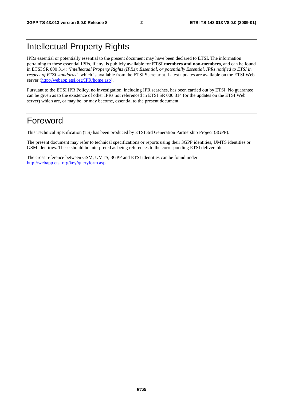### Intellectual Property Rights

IPRs essential or potentially essential to the present document may have been declared to ETSI. The information pertaining to these essential IPRs, if any, is publicly available for **ETSI members and non-members**, and can be found in ETSI SR 000 314: *"Intellectual Property Rights (IPRs); Essential, or potentially Essential, IPRs notified to ETSI in respect of ETSI standards"*, which is available from the ETSI Secretariat. Latest updates are available on the ETSI Web server [\(http://webapp.etsi.org/IPR/home.asp\)](http://webapp.etsi.org/IPR/home.asp).

Pursuant to the ETSI IPR Policy, no investigation, including IPR searches, has been carried out by ETSI. No guarantee can be given as to the existence of other IPRs not referenced in ETSI SR 000 314 (or the updates on the ETSI Web server) which are, or may be, or may become, essential to the present document.

#### Foreword

This Technical Specification (TS) has been produced by ETSI 3rd Generation Partnership Project (3GPP).

The present document may refer to technical specifications or reports using their 3GPP identities, UMTS identities or GSM identities. These should be interpreted as being references to the corresponding ETSI deliverables.

The cross reference between GSM, UMTS, 3GPP and ETSI identities can be found under [http://webapp.etsi.org/key/queryform.asp.](http://webapp.etsi.org/key/queryform.asp)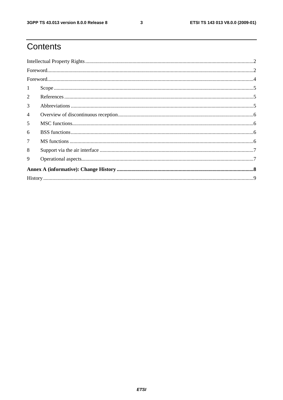$\mathbf{3}$ 

### Contents

|                | $\textbf{For} \textit{word} \textit{} \textit{} \textit{} \textit{} \textit{} \textit{} \textit{} \textit{} \textit{} \textit{} \textit{} \textit{} \textit{} \textit{} \textit{} \textit{} \textit{} \textit{} \textit{} \textit{} \textit{} \textit{} \textit{} \textit{} \textit{} \textit{} \textit{} \textit{} \textit{} \textit{} \textit{} \textit{} \textit{} \textit{} \textit{$ |  |  |  |
|----------------|-------------------------------------------------------------------------------------------------------------------------------------------------------------------------------------------------------------------------------------------------------------------------------------------------------------------------------------------------------------------------------------------|--|--|--|
|                | $\textbf{For} \textit{evord}.\textit{} \textit{} \textit{} \textit{} \textit{} \textit{} \textit{} \textit{} \textit{} \textit{} \textit{} \textit{} \textit{} \textit{} \textit{} \textit{} \textit{} \textit{} \textit{} \textit{} \textit{} \textit{} \textit{} \textit{} \textit{} \textit{} \textit{} \textit{} \textit{} \textit{} \textit{} \textit{} \textit{} \textit{} \textit$ |  |  |  |
| $\mathbf{1}$   |                                                                                                                                                                                                                                                                                                                                                                                           |  |  |  |
| 2              |                                                                                                                                                                                                                                                                                                                                                                                           |  |  |  |
| 3              |                                                                                                                                                                                                                                                                                                                                                                                           |  |  |  |
| $\overline{4}$ |                                                                                                                                                                                                                                                                                                                                                                                           |  |  |  |
| 5              |                                                                                                                                                                                                                                                                                                                                                                                           |  |  |  |
| 6              |                                                                                                                                                                                                                                                                                                                                                                                           |  |  |  |
| $\tau$         |                                                                                                                                                                                                                                                                                                                                                                                           |  |  |  |
| 8              |                                                                                                                                                                                                                                                                                                                                                                                           |  |  |  |
| 9              |                                                                                                                                                                                                                                                                                                                                                                                           |  |  |  |
|                |                                                                                                                                                                                                                                                                                                                                                                                           |  |  |  |
|                |                                                                                                                                                                                                                                                                                                                                                                                           |  |  |  |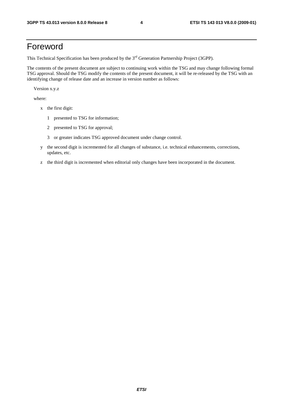#### Foreword

This Technical Specification has been produced by the 3<sup>rd</sup> Generation Partnership Project (3GPP).

The contents of the present document are subject to continuing work within the TSG and may change following formal TSG approval. Should the TSG modify the contents of the present document, it will be re-released by the TSG with an identifying change of release date and an increase in version number as follows:

Version x.y.z

where:

- x the first digit:
	- 1 presented to TSG for information;
	- 2 presented to TSG for approval;
	- 3 or greater indicates TSG approved document under change control.
- y the second digit is incremented for all changes of substance, i.e. technical enhancements, corrections, updates, etc.
- z the third digit is incremented when editorial only changes have been incorporated in the document.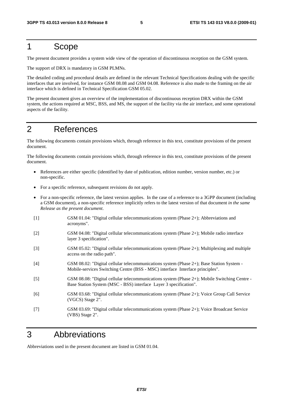#### 1 Scope

The present document provides a system wide view of the operation of discontinuous reception on the GSM system.

The support of DRX is mandatory in GSM PLMNs.

The detailed coding and procedural details are defined in the relevant Technical Specifications dealing with the specific interfaces that are involved, for instance GSM 08.08 and GSM 04.08. Reference is also made to the framing on the air interface which is defined in Technical Specification GSM 05.02.

The present document gives an overview of the implementation of discontinuous reception DRX within the GSM system, the actions required at MSC, BSS, and MS, the support of the facility via the air interface, and some operational aspects of the facility.

#### 2 References

The following documents contain provisions which, through reference in this text, constitute provisions of the present document.

The following documents contain provisions which, through reference in this text, constitute provisions of the present document.

- References are either specific (identified by date of publication, edition number, version number, etc.) or non-specific.
- For a specific reference, subsequent revisions do not apply.
- For a non-specific reference, the latest version applies. In the case of a reference to a 3GPP document (including a GSM document), a non-specific reference implicitly refers to the latest version of that document *in the same Release as the present document*.
- [1] GSM 01.04: "Digital cellular telecommunications system (Phase 2+); Abbreviations and acronyms".
- [2] GSM 04.08: "Digital cellular telecommunications system (Phase 2+); Mobile radio interface layer 3 specification".
- [3] GSM 05.02: "Digital cellular telecommunications system (Phase 2+); Multiplexing and multiple access on the radio path".
- [4] GSM 08.02: "Digital cellular telecommunications system (Phase 2+); Base Station System Mobile-services Switching Centre (BSS - MSC) interface Interface principles".
- [5] GSM 08.08: "Digital cellular telecommunications system (Phase 2+); Mobile Switching Centre Base Station System (MSC - BSS) interface Layer 3 specification".
- [6] GSM 03.68: "Digital cellular telecommunications system (Phase 2+); Voice Group Call Service (VGCS) Stage 2".
- [7] GSM 03.69: "Digital cellular telecommunications system (Phase 2+); Voice Broadcast Service (VBS) Stage 2".

#### 3 Abbreviations

Abbreviations used in the present document are listed in GSM 01.04.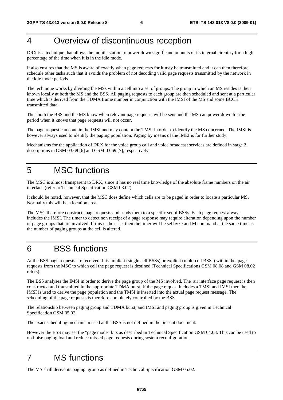### 4 Overview of discontinuous reception

DRX is a technique that allows the mobile station to power down significant amounts of its internal circuitry for a high percentage of the time when it is in the idle mode.

It also ensures that the MS is aware of exactly when page requests for it may be transmitted and it can then therefore schedule other tasks such that it avoids the problem of not decoding valid page requests transmitted by the network in the idle mode periods.

The technique works by dividing the MSs within a cell into a set of groups. The group in which an MS resides is then known locally at both the MS and the BSS. All paging requests to each group are then scheduled and sent at a particular time which is derived from the TDMA frame number in conjunction with the IMSI of the MS and some BCCH transmitted data.

Thus both the BSS and the MS know when relevant page requests will be sent and the MS can power down for the period when it knows that page requests will not occur.

The page request can contain the IMSI and may contain the TMSI in order to identify the MS concerned. The IMSI is however always used to identify the paging population. Paging by means of the IMEI is for further study.

Mechanisms for the application of DRX for the voice group call and voice broadcast services are defined in stage 2 descriptions in GSM 03.68 [6] and GSM 03.69 [7], respectively.

#### 5 MSC functions

The MSC is almost transparent to DRX, since it has no real time knowledge of the absolute frame numbers on the air interface (refer to Technical Specification GSM 08.02).

It should be noted, however, that the MSC does define which cells are to be paged in order to locate a particular MS. Normally this will be a location area.

The MSC therefore constructs page requests and sends them to a specific set of BSSs. Each page request always includes the IMSI. The timer to detect non receipt of a page response may require alteration depending upon the number of page groups that are involved. If this is the case, then the timer will be set by O and M command at the same time as the number of paging groups at the cell is altered.

#### 6 BSS functions

At the BSS page requests are received. It is implicit (single cell BSSs) or explicit (multi cell BSSs) within the page requests from the MSC to which cell the page request is destined (Technical Specifications GSM 08.08 and GSM 08.02 refers).

The BSS analyses the IMSI in order to derive the page group of the MS involved. The air interface page request is then constructed and transmitted in the appropriate TDMA burst. If the page request includes a TMSI and IMSI then the IMSI is used to derive the page population and the TMSI is inserted into the actual page request message. The scheduling of the page requests is therefore completely controlled by the BSS.

The relationship between paging group and TDMA burst, and IMSI and paging group is given in Technical Specification GSM 05.02.

The exact scheduling mechanism used at the BSS is not defined in the present document.

However the BSS may set the "page mode" bits as described in Technical Specification GSM 04.08. This can be used to optimise paging load and reduce missed page requests during system reconfiguration.

#### 7 MS functions

The MS shall derive its paging group as defined in Technical Specification GSM 05.02.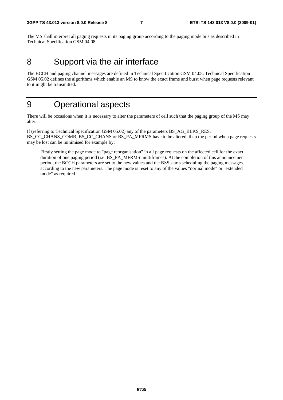The MS shall interpret all paging requests in its paging group according to the paging mode bits as described in Technical Specification GSM 04.08.

### 8 Support via the air interface

The BCCH and paging channel messages are defined in Technical Specification GSM 04.08. Technical Specification GSM 05.02 defines the algorithms which enable an MS to know the exact frame and burst when page requests relevant to it might be transmitted.

#### 9 Operational aspects

There will be occasions when it is necessary to alter the parameters of cell such that the paging group of the MS may alter.

If (referring to Technical Specification GSM 05.02) any of the parameters BS\_AG\_BLKS\_RES, BS\_CC\_CHANS\_COMB, BS\_CC\_CHANS or BS\_PA\_MFRMS have to be altered, then the period when page requests may be lost can be minimised for example by:

 Firstly setting the page mode to "page reorganisation" in all page requests on the affected cell for the exact duration of one paging period (i.e. BS\_PA\_MFRMS multiframes). At the completion of this announcement period, the BCCH parameters are set to the new values and the BSS starts scheduling the paging messages according to the new parameters. The page mode is reset to any of the values "normal mode" or "extended mode" as required.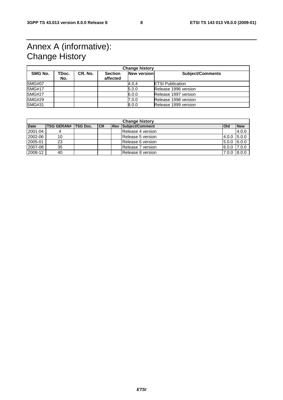### Annex A (informative): Change History

| <b>Change history</b> |              |         |                            |                    |                         |
|-----------------------|--------------|---------|----------------------------|--------------------|-------------------------|
| SMG No.               | TDoc.<br>No. | CR. No. | <b>Section</b><br>affected | <b>New version</b> | <b>Subject/Comments</b> |
| <b>SMG#07</b>         |              |         |                            | 4.0.4              | <b>ETSI Publication</b> |
| <b>SMG#17</b>         |              |         |                            | 5.0.0              | Release 1996 version    |
| <b>SMG#27</b>         |              |         |                            | 6.0.0              | Release 1997 version    |
| <b>SMG#29</b>         |              |         |                            | 7.0.0              | Release 1998 version    |
| <b>SMG#31</b>         |              |         |                            | 8.0.0              | Release 1999 version    |

| <b>Change history</b> |                      |  |    |  |                            |               |            |
|-----------------------|----------------------|--|----|--|----------------------------|---------------|------------|
| <b>Date</b>           | TSG GERAN#  TSG Doc. |  | CR |  | <b>Rev Subject/Comment</b> | <b>Old</b>    | <b>New</b> |
| 2001-04               |                      |  |    |  | l Release 4 version        |               | 4.0.0      |
| 2002-06               | 10                   |  |    |  | l Release 5 version        | 4.0.0         | 15.0.0     |
| 2005-01               | 23                   |  |    |  | Release 6 version          | $5.0.0$ 6.0.0 |            |
| 2007-08               | 35                   |  |    |  | Release 7 version          | 6.0.0         | 17.0.0     |
| 2008-12               | 40                   |  |    |  | Release 8 version          | 7.0.0 8.0.0   |            |